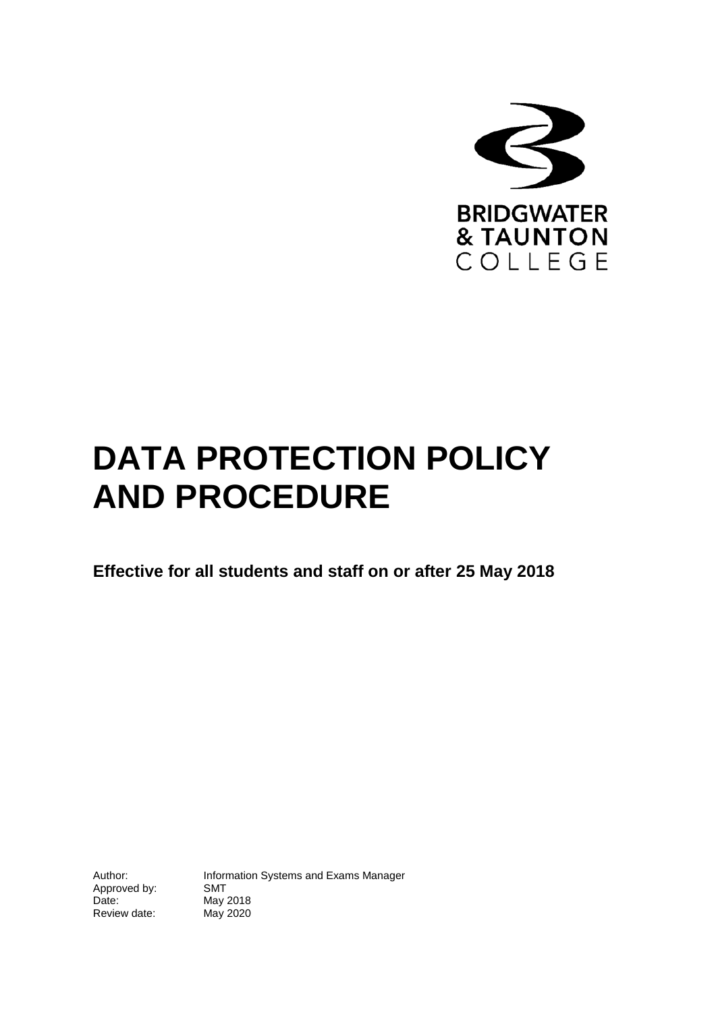

# **DATA PROTECTION POLICY AND PROCEDURE**

**Effective for all students and staff on or after 25 May 2018**

Approved by:<br>Date: Review date:

Author: Information Systems and Exams Manager<br>Approved by: SMT May 2018<br>May 2020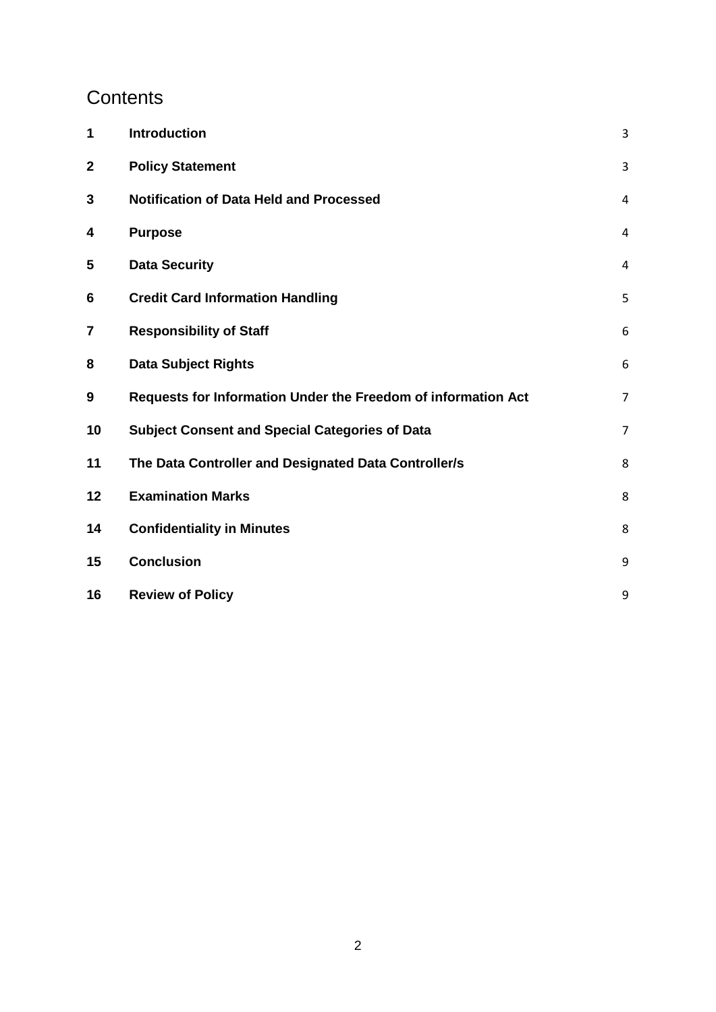# **Contents**

| 1           | Introduction                                                  | 3              |
|-------------|---------------------------------------------------------------|----------------|
| $\mathbf 2$ | <b>Policy Statement</b>                                       | 3              |
| 3           | <b>Notification of Data Held and Processed</b>                | $\overline{4}$ |
| 4           | <b>Purpose</b>                                                | 4              |
| 5           | <b>Data Security</b>                                          | $\overline{4}$ |
| 6           | <b>Credit Card Information Handling</b>                       | 5              |
| 7           | <b>Responsibility of Staff</b>                                | $6\,$          |
| 8           | <b>Data Subject Rights</b>                                    | 6              |
| 9           | Requests for Information Under the Freedom of information Act | $\overline{7}$ |
| 10          | <b>Subject Consent and Special Categories of Data</b>         | $\overline{7}$ |
| 11          | The Data Controller and Designated Data Controller/s          | 8              |
| 12          | <b>Examination Marks</b>                                      | 8              |
| 14          | <b>Confidentiality in Minutes</b>                             | 8              |
| 15          | <b>Conclusion</b>                                             | 9              |
| 16          | <b>Review of Policy</b>                                       | 9              |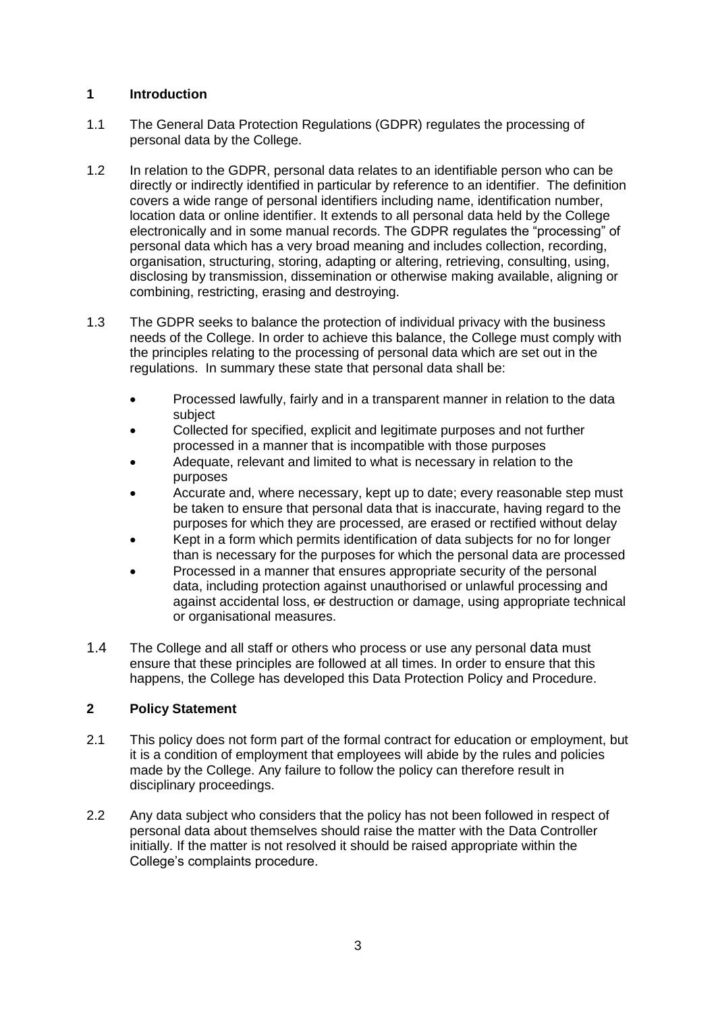# <span id="page-2-0"></span>**1 Introduction**

- 1.1 The General Data Protection Regulations (GDPR) regulates the processing of personal data by the College.
- 1.2 In relation to the GDPR, personal data relates to an identifiable person who can be directly or indirectly identified in particular by reference to an identifier. The definition covers a wide range of personal identifiers including name, identification number, location data or online identifier. It extends to all personal data held by the College electronically and in some manual records. The GDPR regulates the "processing" of personal data which has a very broad meaning and includes collection, recording, organisation, structuring, storing, adapting or altering, retrieving, consulting, using, disclosing by transmission, dissemination or otherwise making available, aligning or combining, restricting, erasing and destroying.
- 1.3 The GDPR seeks to balance the protection of individual privacy with the business needs of the College. In order to achieve this balance, the College must comply with the principles relating to the processing of personal data which are set out in the regulations. In summary these state that personal data shall be:
	- Processed lawfully, fairly and in a transparent manner in relation to the data subject
	- Collected for specified, explicit and legitimate purposes and not further processed in a manner that is incompatible with those purposes
	- Adequate, relevant and limited to what is necessary in relation to the purposes
	- Accurate and, where necessary, kept up to date; every reasonable step must be taken to ensure that personal data that is inaccurate, having regard to the purposes for which they are processed, are erased or rectified without delay
	- Kept in a form which permits identification of data subjects for no for longer than is necessary for the purposes for which the personal data are processed
	- Processed in a manner that ensures appropriate security of the personal data, including protection against unauthorised or unlawful processing and against accidental loss, or destruction or damage, using appropriate technical or organisational measures.
- 1.4 The College and all staff or others who process or use any personal data must ensure that these principles are followed at all times. In order to ensure that this happens, the College has developed this Data Protection Policy and Procedure.

# <span id="page-2-1"></span>**2 Policy Statement**

- 2.1 This policy does not form part of the formal contract for education or employment, but it is a condition of employment that employees will abide by the rules and policies made by the College. Any failure to follow the policy can therefore result in disciplinary proceedings.
- <span id="page-2-2"></span>2.2 Any data subject who considers that the policy has not been followed in respect of personal data about themselves should raise the matter with the Data Controller initially. If the matter is not resolved it should be raised appropriate within the College's complaints procedure.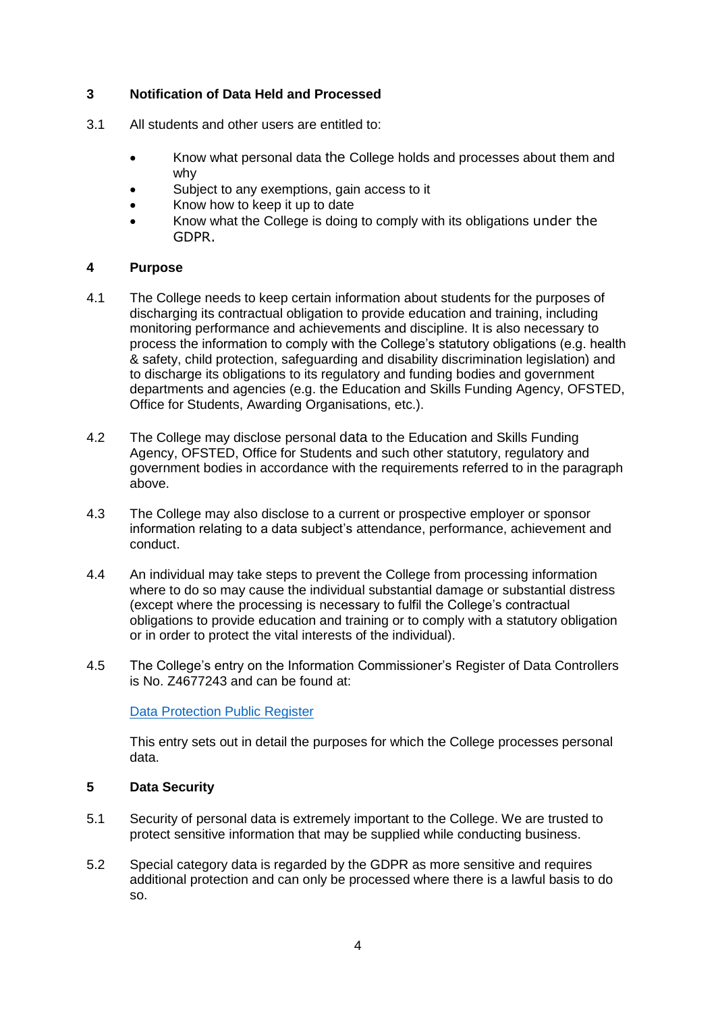# **3 Notification of Data Held and Processed**

- 3.1 All students and other users are entitled to:
	- Know what personal data the College holds and processes about them and why
	- Subject to any exemptions, gain access to it
	- Know how to keep it up to date
	- Know what the College is doing to comply with its obligations under the GDPR.

# <span id="page-3-0"></span>**4 Purpose**

- 4.1 The College needs to keep certain information about students for the purposes of discharging its contractual obligation to provide education and training, including monitoring performance and achievements and discipline. It is also necessary to process the information to comply with the College's statutory obligations (e.g. health & safety, child protection, safeguarding and disability discrimination legislation) and to discharge its obligations to its regulatory and funding bodies and government departments and agencies (e.g. the Education and Skills Funding Agency, OFSTED, Office for Students, Awarding Organisations, etc.).
- 4.2 The College may disclose personal data to the Education and Skills Funding Agency, OFSTED, Office for Students and such other statutory, regulatory and government bodies in accordance with the requirements referred to in the paragraph above.
- 4.3 The College may also disclose to a current or prospective employer or sponsor information relating to a data subject's attendance, performance, achievement and conduct.
- 4.4 An individual may take steps to prevent the College from processing information where to do so may cause the individual substantial damage or substantial distress (except where the processing is necessary to fulfil the College's contractual obligations to provide education and training or to comply with a statutory obligation or in order to protect the vital interests of the individual).
- 4.5 The College's entry on the Information Commissioner's Register of Data Controllers is No. Z4677243 and can be found at:

# [Data Protection Public Register](https://ico.org.uk/esdwebpages/search)

This entry sets out in detail the purposes for which the College processes personal data.

# <span id="page-3-1"></span>**5 Data Security**

- 5.1 Security of personal data is extremely important to the College. We are trusted to protect sensitive information that may be supplied while conducting business.
- 5.2 Special category data is regarded by the GDPR as more sensitive and requires additional protection and can only be processed where there is a lawful basis to do so.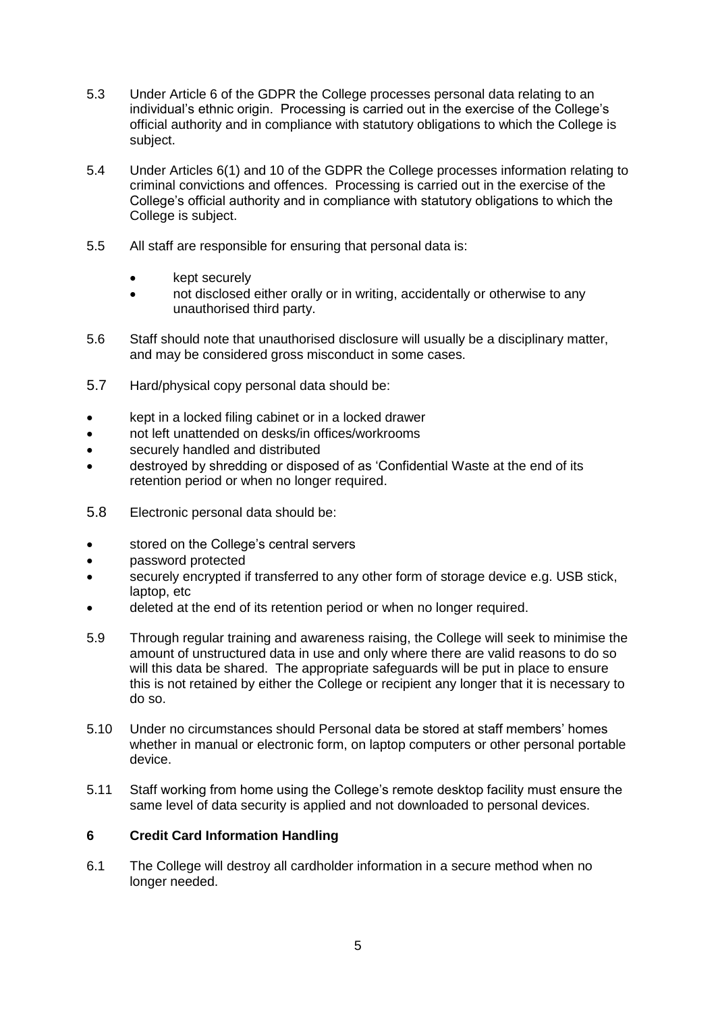- 5.3 Under Article 6 of the GDPR the College processes personal data relating to an individual's ethnic origin. Processing is carried out in the exercise of the College's official authority and in compliance with statutory obligations to which the College is subject.
- 5.4 Under Articles 6(1) and 10 of the GDPR the College processes information relating to criminal convictions and offences. Processing is carried out in the exercise of the College's official authority and in compliance with statutory obligations to which the College is subject.
- 5.5 All staff are responsible for ensuring that personal data is:
	- kept securely
	- not disclosed either orally or in writing, accidentally or otherwise to any unauthorised third party.
- 5.6 Staff should note that unauthorised disclosure will usually be a disciplinary matter, and may be considered gross misconduct in some cases.
- 5.7 Hard/physical copy personal data should be:
- kept in a locked filing cabinet or in a locked drawer
- not left unattended on desks/in offices/workrooms
- securely handled and distributed
- destroyed by shredding or disposed of as 'Confidential Waste at the end of its retention period or when no longer required.
- 5.8 Electronic personal data should be:
- stored on the College's central servers
- password protected
- securely encrypted if transferred to any other form of storage device e.g. USB stick, laptop, etc
- deleted at the end of its retention period or when no longer required.
- 5.9 Through regular training and awareness raising, the College will seek to minimise the amount of unstructured data in use and only where there are valid reasons to do so will this data be shared. The appropriate safeguards will be put in place to ensure this is not retained by either the College or recipient any longer that it is necessary to do so.
- 5.10 Under no circumstances should Personal data be stored at staff members' homes whether in manual or electronic form, on laptop computers or other personal portable device.
- 5.11 Staff working from home using the College's remote desktop facility must ensure the same level of data security is applied and not downloaded to personal devices.

#### <span id="page-4-0"></span>**6 Credit Card Information Handling**

6.1 The College will destroy all cardholder information in a secure method when no longer needed.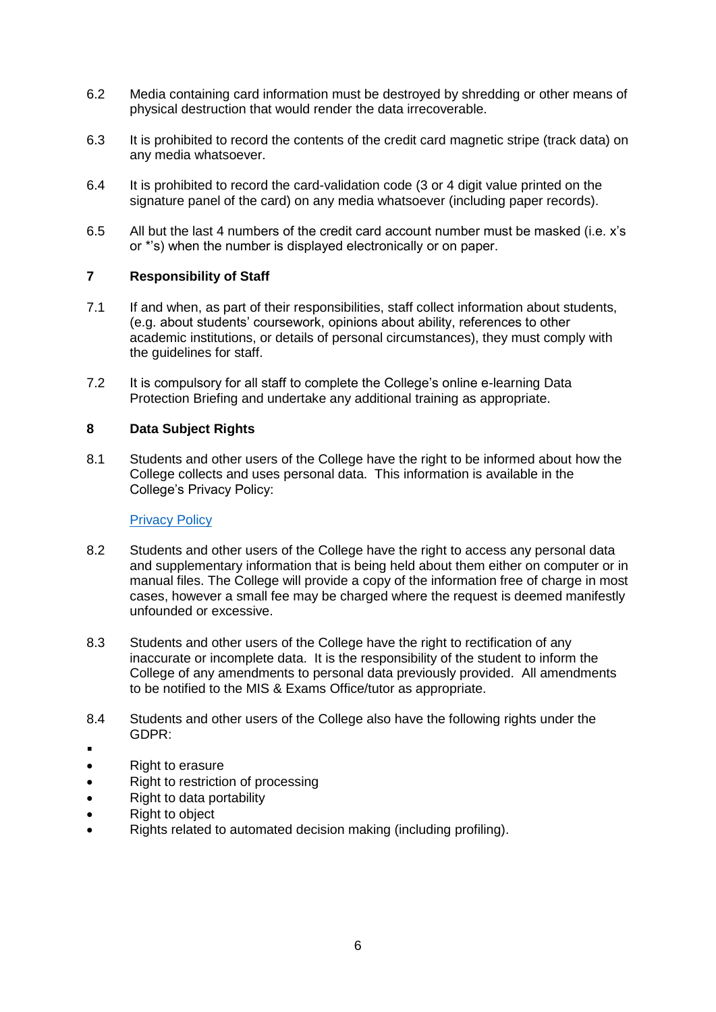- 6.2 Media containing card information must be destroyed by shredding or other means of physical destruction that would render the data irrecoverable.
- 6.3 It is prohibited to record the contents of the credit card magnetic stripe (track data) on any media whatsoever.
- 6.4 It is prohibited to record the card-validation code (3 or 4 digit value printed on the signature panel of the card) on any media whatsoever (including paper records).
- 6.5 All but the last 4 numbers of the credit card account number must be masked (i.e. x's or \*'s) when the number is displayed electronically or on paper.

#### <span id="page-5-0"></span>**7 Responsibility of Staff**

- 7.1 If and when, as part of their responsibilities, staff collect information about students, (e.g. about students' coursework, opinions about ability, references to other academic institutions, or details of personal circumstances), they must comply with the guidelines for staff.
- 7.2 It is compulsory for all staff to complete the College's online e-learning Data Protection Briefing and undertake any additional training as appropriate.

#### <span id="page-5-1"></span>**8 Data Subject Rights**

8.1 Students and other users of the College have the right to be informed about how the College collects and uses personal data. This information is available in the College's Privacy Policy:

#### [Privacy Policy](http://www.bridgwater.ac.uk/college-information.php?category=89&page=198)

- 8.2 Students and other users of the College have the right to access any personal data and supplementary information that is being held about them either on computer or in manual files. The College will provide a copy of the information free of charge in most cases, however a small fee may be charged where the request is deemed manifestly unfounded or excessive.
- 8.3 Students and other users of the College have the right to rectification of any inaccurate or incomplete data. It is the responsibility of the student to inform the College of any amendments to personal data previously provided. All amendments to be notified to the MIS & Exams Office/tutor as appropriate.
- 8.4 Students and other users of the College also have the following rights under the GDPR:
- .
- Right to erasure
- Right to restriction of processing
- Right to data portability
- Right to object
- Rights related to automated decision making (including profiling).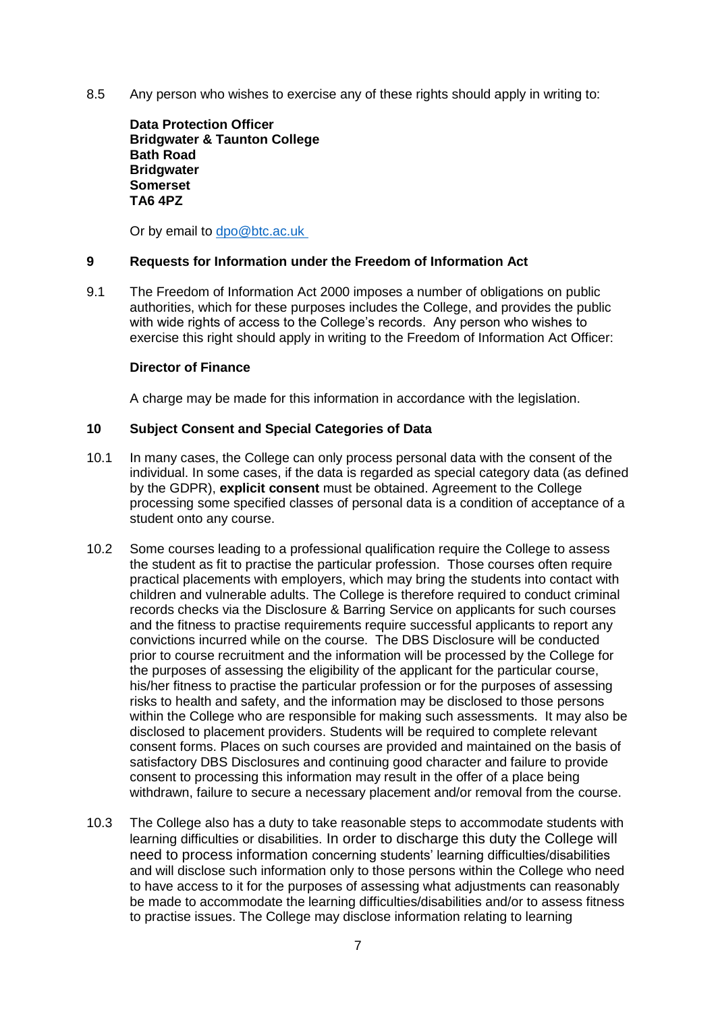8.5 Any person who wishes to exercise any of these rights should apply in writing to:

**Data Protection Officer Bridgwater & Taunton College Bath Road Bridgwater Somerset TA6 4PZ**

Or by email to dpo@btc.ac.uk

#### <span id="page-6-0"></span>**9 Requests for Information under the Freedom of Information Act**

9.1 The Freedom of Information Act 2000 imposes a number of obligations on public authorities, which for these purposes includes the College, and provides the public with wide rights of access to the College's records. Any person who wishes to exercise this right should apply in writing to the Freedom of Information Act Officer:

#### **Director of Finance**

A charge may be made for this information in accordance with the legislation.

#### <span id="page-6-1"></span>**10 Subject Consent and Special Categories of Data**

- 10.1 In many cases, the College can only process personal data with the consent of the individual. In some cases, if the data is regarded as special category data (as defined by the GDPR), **explicit consent** must be obtained. Agreement to the College processing some specified classes of personal data is a condition of acceptance of a student onto any course.
- 10.2 Some courses leading to a professional qualification require the College to assess the student as fit to practise the particular profession. Those courses often require practical placements with employers, which may bring the students into contact with children and vulnerable adults. The College is therefore required to conduct criminal records checks via the Disclosure & Barring Service on applicants for such courses and the fitness to practise requirements require successful applicants to report any convictions incurred while on the course. The DBS Disclosure will be conducted prior to course recruitment and the information will be processed by the College for the purposes of assessing the eligibility of the applicant for the particular course, his/her fitness to practise the particular profession or for the purposes of assessing risks to health and safety, and the information may be disclosed to those persons within the College who are responsible for making such assessments. It may also be disclosed to placement providers. Students will be required to complete relevant consent forms. Places on such courses are provided and maintained on the basis of satisfactory DBS Disclosures and continuing good character and failure to provide consent to processing this information may result in the offer of a place being withdrawn, failure to secure a necessary placement and/or removal from the course.
- 10.3 The College also has a duty to take reasonable steps to accommodate students with learning difficulties or disabilities. In order to discharge this duty the College will need to process information concerning students' learning difficulties/disabilities and will disclose such information only to those persons within the College who need to have access to it for the purposes of assessing what adjustments can reasonably be made to accommodate the learning difficulties/disabilities and/or to assess fitness to practise issues. The College may disclose information relating to learning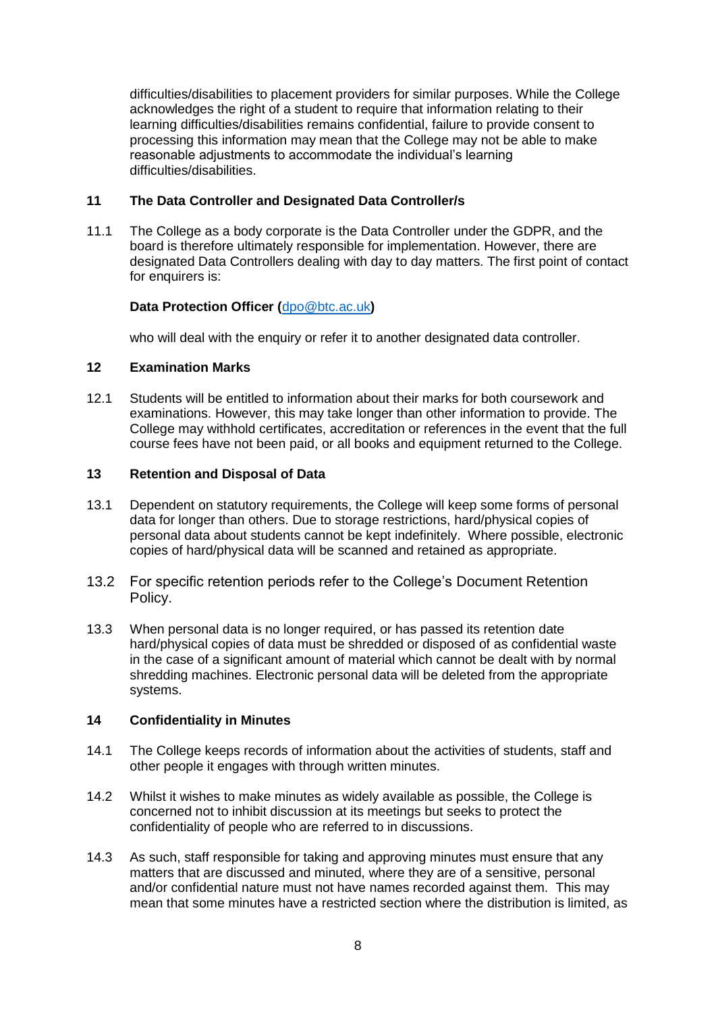difficulties/disabilities to placement providers for similar purposes. While the College acknowledges the right of a student to require that information relating to their learning difficulties/disabilities remains confidential, failure to provide consent to processing this information may mean that the College may not be able to make reasonable adjustments to accommodate the individual's learning difficulties/disabilities.

# <span id="page-7-0"></span>**11 The Data Controller and Designated Data Controller/s**

11.1 The College as a body corporate is the Data Controller under the GDPR, and the board is therefore ultimately responsible for implementation. However, there are designated Data Controllers dealing with day to day matters. The first point of contact for enquirers is:

# **Data Protection Officer (**[dpo@btc.ac.uk](mailto:dpo@btc.ac.uk)**)**

who will deal with the enquiry or refer it to another designated data controller.

# <span id="page-7-1"></span>**12 Examination Marks**

12.1 Students will be entitled to information about their marks for both coursework and examinations. However, this may take longer than other information to provide. The College may withhold certificates, accreditation or references in the event that the full course fees have not been paid, or all books and equipment returned to the College.

#### **13 Retention and Disposal of Data**

- 13.1 Dependent on statutory requirements, the College will keep some forms of personal data for longer than others. Due to storage restrictions, hard/physical copies of personal data about students cannot be kept indefinitely. Where possible, electronic copies of hard/physical data will be scanned and retained as appropriate.
- 13.2 For specific retention periods refer to the College's Document Retention Policy.
- 13.3 When personal data is no longer required, or has passed its retention date hard/physical copies of data must be shredded or disposed of as confidential waste in the case of a significant amount of material which cannot be dealt with by normal shredding machines. Electronic personal data will be deleted from the appropriate systems.

#### <span id="page-7-2"></span>**14 Confidentiality in Minutes**

- 14.1 The College keeps records of information about the activities of students, staff and other people it engages with through written minutes.
- 14.2 Whilst it wishes to make minutes as widely available as possible, the College is concerned not to inhibit discussion at its meetings but seeks to protect the confidentiality of people who are referred to in discussions.
- 14.3 As such, staff responsible for taking and approving minutes must ensure that any matters that are discussed and minuted, where they are of a sensitive, personal and/or confidential nature must not have names recorded against them. This may mean that some minutes have a restricted section where the distribution is limited, as